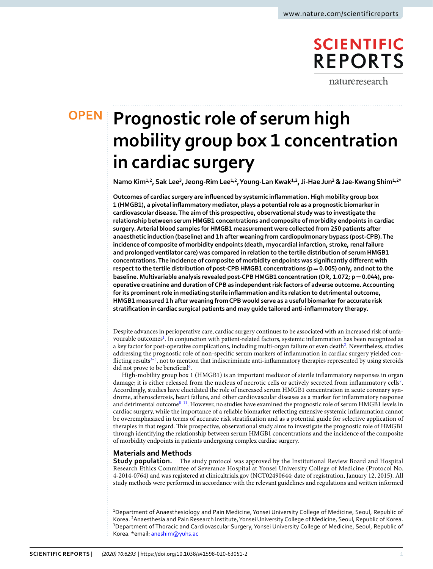## **SCIENTIFIC REPORTS**

natureresearch

### **OPEN**

# **Prognostic role of serum high mobility group box 1 concentration in cardiac surgery**

**Namo Kim1,2, Sak Lee<sup>3</sup> , Jeong-Rim Lee1,2, Young-Lan Kwak1,2, Ji-Hae Jun<sup>2</sup> & Jae-KwangShim1,2\***

**Outcomes of cardiac surgery are infuenced by systemic infammation. High mobility group box 1 (HMGB1), a pivotal infammatory mediator, plays a potential role as a prognostic biomarker in cardiovascular disease. The aim of this prospective, observational study was to investigate the relationship between serum HMGB1 concentrations and composite of morbidity endpoints in cardiac surgery. Arterial blood samples for HMGB1 measurement were collected from 250 patients after anaesthetic induction (baseline) and 1h after weaning from cardiopulmonary bypass (post-CPB). The incidence of composite of morbidity endpoints (death, myocardial infarction, stroke, renal failure and prolonged ventilator care) was compared in relation to the tertile distribution of serum HMGB1 concentrations. The incidence of composite of morbidity endpoints was signifcantly diferent with respect to the tertile distribution of post-CPB HMGB1 concentrations (p=0.005) only, and not to the baseline. Multivariable analysis revealed post-CPB HMGB1 concentration (OR, 1.072; p=0.044), preoperative creatinine and duration of CPB as independent risk factors of adverse outcome. Accounting for its prominent role in mediating sterile infammation and its relation to detrimental outcome, HMGB1 measured 1h after weaning from CPB would serve as a useful biomarker for accurate risk stratifcation in cardiac surgical patients and may guide tailored anti-infammatory therapy.**

Despite advances in perioperative care, cardiac surgery continues to be associated with an increased risk of unfa-vourable outcomes<sup>[1](#page-5-0)</sup>. In conjunction with patient-related factors, systemic inflammation has been recognized as a key factor for post-operative complications, including multi-organ failure or even death<sup>2</sup>. Nevertheless, studies addressing the prognostic role of non-specifc serum markers of infammation in cardiac surgery yielded con-flicting results<sup>[3](#page-5-2)-[5](#page-5-3)</sup>, not to mention that indiscriminate anti-inflammatory therapies represented by using steroids did not prove to be beneficial<sup>6</sup>.

High-mobility group box 1 (HMGB1) is an important mediator of sterile infammatory responses in organ damage; it is either released from the nucleus of necrotic cells or actively secreted from inflammatory cells<sup>[7](#page-5-5)</sup>. Accordingly, studies have elucidated the role of increased serum HMGB1 concentration in acute coronary syndrome, atherosclerosis, heart failure, and other cardiovascular diseases as a marker for infammatory response and detrimental outcome<sup>8-11</sup>. However, no studies have examined the prognostic role of serum HMGB1 levels in cardiac surgery, while the importance of a reliable biomarker refecting extensive systemic infammation cannot be overemphasized in terms of accurate risk stratifcation and as a potential guide for selective application of therapies in that regard. Tis prospective, observational study aims to investigate the prognostic role of HMGB1 through identifying the relationship between serum HMGB1 concentrations and the incidence of the composite of morbidity endpoints in patients undergoing complex cardiac surgery.

#### **Materials and Methods**

**Study population.** The study protocol was approved by the Institutional Review Board and Hospital Research Ethics Committee of Severance Hospital at Yonsei University College of Medicine (Protocol No. 4-2014-0764) and was registered at clinicaltrials.gov (NCT02490644; date of registration, January 12, 2015). All study methods were performed in accordance with the relevant guidelines and regulations and written informed

<sup>1</sup>Department of Anaesthesiology and Pain Medicine, Yonsei University College of Medicine, Seoul, Republic of Korea. <sup>2</sup>Anaesthesia and Pain Research Institute, Yonsei University College of Medicine, Seoul, Republic of Korea. <sup>3</sup>Department of Thoracic and Cardiovascular Surgery, Yonsei University College of Medicine, Seoul, Republic of Korea. \*email: [aneshim@yuhs.ac](mailto:aneshim@yuhs.ac)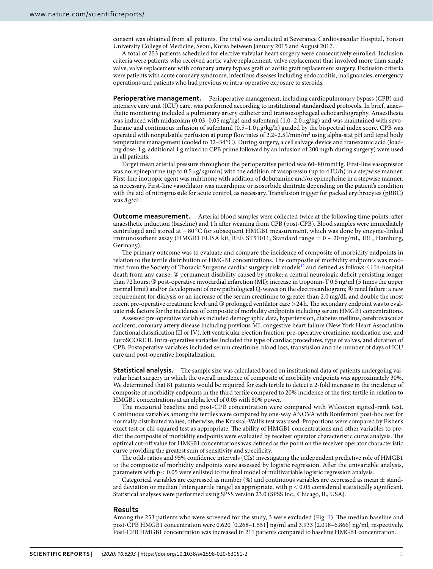consent was obtained from all patients. The trial was conducted at Severance Cardiovascular Hospital, Yonsei University College of Medicine, Seoul, Korea between January 2015 and August 2017.

A total of 253 patients scheduled for elective valvular heart surgery were consecutively enrolled. Inclusion criteria were patients who received aortic valve replacement, valve replacement that involved more than single valve, valve replacement with coronary artery bypass graft or aortic graft replacement surgery. Exclusion criteria were patients with acute coronary syndrome, infectious diseases including endocarditis, malignancies, emergency operations and patients who had previous or intra-operative exposure to steroids.

**Perioperative management.** Perioperative management, including cardiopulmonary bypass (CPB) and intensive care unit (ICU) care, was performed according to institutional standardized protocols. In brief, anaesthetic monitoring included a pulmonary artery catheter and transoesophageal echocardiography. Anaesthesia was induced with midazolam (0.03–0.05 mg/kg) and sufentanil (1.0–2.0 μg/kg) and was maintained with sevoflurane and continuous infusion of sufentanil  $(0.5-1.0 \mu g/kg/h)$  guided by the bispectral index score. CPB was operated with nonpulsatile perfusion at pump flow rates of 2.2–2.5 l/min/m<sup>2</sup> using alpha-stat pH and tepid body temperature management (cooled to 32–34 °C). During surgery, a cell salvage device and tranexamic acid (loading dose: 1 g, additional 1 g mixed to CPB prime followed by an infusion of 200mg/h during surgery) were used in all patients.

Target mean arterial pressure throughout the perioperative period was 60–80mmHg. First-line vasopressor was norepinephrine (up to 0.5 μg/kg/min) with the addition of vasopressin (up to 4 IU/h) in a stepwise manner. First-line inotropic agent was milrinone with addition of dobutamine and/or epinephrine in a stepwise manner, as necessary. First-line vasodilator was nicardipine or isosorbide dinitrate depending on the patient's condition with the aid of nitroprusside for acute control, as necessary. Transfusion trigger for packed erythrocytes (pRBC) was 8 g/dL.

**Outcome measurement.** Arterial blood samples were collected twice at the following time points; afer anaesthetic induction (baseline) and 1h afer weaning from CPB (post-CPB). Blood samples were immediately centrifuged and stored at −80 °C for subsequent HMGB1 measurement, which was done by enzyme-linked immunosorbent assay (HMGB1 ELISA kit, REF. ST51011, Standard range  $= 0 \sim 20$  ng/mL, IBL, Hamburg, Germany).

The primary outcome was to evaluate and compare the incidence of composite of morbidity endpoints in relation to the tertile distribution of HMGB1 concentrations. The composite of morbidity endpoints was modified from the Society of Thoracic Surgeons cardiac surgery risk models<sup>12</sup> and defined as follows: ① In-hospital death from any cause; ➁ permanent disability caused by stroke: a central neurologic defcit persisting longer than 72hours; ➂ post-operative myocardial infarction (MI): increase in troponin-T 0.5ng/ml (5 times the upper normal limit) and/or development of new pathological Q-waves on the electrocardiogram;  $\circledA$  renal failure: a new requirement for dialysis or an increase of the serum creatinine to greater than 2.0 mg/dL and double the most recent pre-operative creatinine level; and  $\textcircled{\textsc{p}}$  prolonged ventilator care  ${>}24\,\text{h}$ . The secondary endpoint was to evaluate risk factors for the incidence of composite of morbidity endpoints including serum HMGB1 concentrations.

Assessed pre-operative variables included demographic data, hypertension, diabetes mellitus, cerebrovascular accident, coronary artery disease including previous MI, congestive heart failure (New York Heart Association functional classifcation III or IV), lef ventricular ejection fraction, pre-operative creatinine, medication use, and EuroSCORE II. Intra-operative variables included the type of cardiac procedures, type of valves, and duration of CPB. Postoperative variables included serum creatinine, blood loss, transfusion and the number of days of ICU care and post-operative hospitalization.

**Statistical analysis.** The sample size was calculated based on institutional data of patients undergoing valvular heart surgery in which the overall incidence of composite of morbidity endpoints was approximately 30%. We determined that 81 patients would be required for each tertile to detect a 2-fold increase in the incidence of composite of morbidity endpoints in the third tertile compared to 20% incidence of the frst tertile in relation to HMGB1 concentrations at an alpha level of 0.05 with 80% power.

The measured baseline and post-CPB concentration were compared with Wilcoxon signed-rank test. Continuous variables among the tertiles were compared by one-way ANOVA with Bonferroni post-hoc test for normally distributed values; otherwise, the Kruskal-Wallis test was used. Proportions were compared by Fisher's exact test or chi-squared test as appropriate. The ability of HMGB1 concentrations and other variables to predict the composite of morbidity endpoints were evaluated by receiver operator characteristic curve analysis. The optimal cut-of value for HMGB1 concentrations was defned as the point on the receiver operator characteristic curve providing the greatest sum of sensitivity and specifcity.

The odds ratios and 95% confidence intervals (CIs) investigating the independent predictive role of HMGB1 to the composite of morbidity endpoints were assessed by logistic regression. Afer the univariable analysis, parameters with  $p < 0.05$  were enlisted to the final model of multivariable logistic regression analysis.

Categorical variables are expressed as number (%) and continuous variables are expressed as mean  $\pm$  standard deviation or median [interquartile range] as appropriate, with  $p < 0.05$  considered statistically significant. Statistical analyses were performed using SPSS version 23.0 (SPSS Inc., Chicago, IL, USA).

#### **Results**

Among the 253 patients who were screened for the study, 3 were excluded (Fig. [1](#page-2-0)). The median baseline and post-CPB HMGB1 concentration were 0.620 [0.268–1.551] ng/ml and 3.933 [2.018–6.866] ng/ml, respectively. Post-CPB HMGB1 concentration was increased in 211 patients compared to baseline HMGB1 concentration.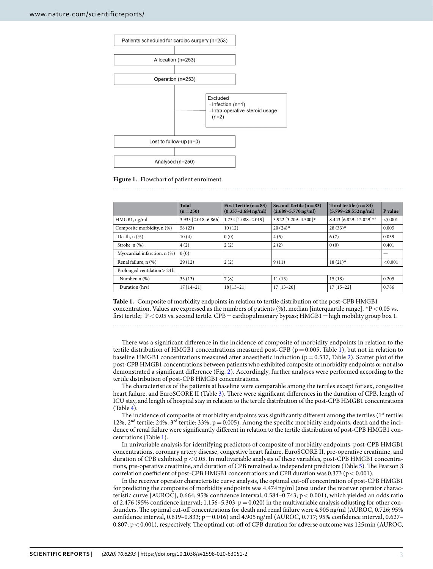

#### <span id="page-2-0"></span>**Figure 1.** Flowchart of patient enrolment.

<span id="page-2-1"></span>

|                              | <b>Total</b><br>$(n=250)$ | First Tertile $(n=83)$<br>$(0.337 - 2.684 \text{ ng/ml})$ | Second Tertile ( $n = 83$ )<br>$(2.689 - 5.770 \,\mathrm{ng/ml})$ | Third tertile $(n=84)$<br>$(5.799 - 28.552 \,\mathrm{ng/ml})$ | P value |  |  |
|------------------------------|---------------------------|-----------------------------------------------------------|-------------------------------------------------------------------|---------------------------------------------------------------|---------|--|--|
| HMGB1, ng/ml                 | 3.933 [2.018-6.866]       | 1.734 [1.088-2.019]                                       | 3.922 [3.209-4.500]*                                              | 8.443 [6.829-12.029]**                                        | < 0.001 |  |  |
| Composite morbidity, n (%)   | 58(23)                    | 10(12)                                                    | $20(24)$ *                                                        | $28(33)*$                                                     | 0.005   |  |  |
| Death, $n$ $(\%)$            | 10(4)                     | 0(0)                                                      | 4(5)                                                              | 6(7)                                                          | 0.039   |  |  |
| Stroke, $n$ $(\%)$           | 4(2)                      | 2(2)                                                      | 2(2)                                                              | 0(0)                                                          | 0.401   |  |  |
| Myocardial infarction, n (%) | 0(0)                      |                                                           |                                                                   |                                                               | –       |  |  |
| Renal failure, n (%)         | 29(12)                    | 2(2)                                                      | 9(11)                                                             | $18(21)$ *                                                    | < 0.001 |  |  |
| Prolonged ventilation > 24 h |                           |                                                           |                                                                   |                                                               |         |  |  |
| Number, n (%)                | 33(13)                    | 7(8)                                                      | 11(13)                                                            | 15(18)                                                        | 0.205   |  |  |
| Duration (hrs)               | $17[14-21]$               | $18[13-21]$                                               | $17$ [ $13-20$ ]                                                  | $17$ [15-22]                                                  | 0.786   |  |  |

**Table 1.** Composite of morbidity endpoints in relation to tertile distribution of the post-CPB HMGB1 concentration. Values are expressed as the numbers of patients  $(\%)$ , median [interquartile range]. \*P < 0.05 vs. first tertile; †P < 0.05 vs. second tertile. CPB = cardiopulmonary bypass; HMGB1 = high mobility group box 1.

There was a significant difference in the incidence of composite of morbidity endpoints in relation to the tertile distribution of HMGB[1](#page-2-1) concentrations measured post-CPB ( $p = 0.005$ , Table 1), but not in relation to baseline HMGB1 concentrations measured after anaesthetic induction ( $p=0.537$ , Table [2](#page-3-0)). Scatter plot of the post-CPB HMGB1 concentrations between patients who exhibited composite of morbidity endpoints or not also demonstrated a signifcant diference (Fig. [2](#page-3-1)). Accordingly, further analyses were performed according to the tertile distribution of post-CPB HMGB1 concentrations.

The characteristics of the patients at baseline were comparable among the tertiles except for sex, congestive heart failure, and EuroSCORE II (Table [3](#page-4-0)). There were significant differences in the duration of CPB, length of ICU stay, and length of hospital stay in relation to the tertile distribution of the post-CPB HMGB1 concentrations (Table [4](#page-4-1)).

The incidence of composite of morbidity endpoints was significantly different among the tertiles (1<sup>st</sup> tertile: 12%,  $2<sup>nd</sup>$  tertile: 24%,  $3<sup>rd</sup>$  tertile: 33%,  $p = 0.005$ ). Among the specific morbidity endpoints, death and the incidence of renal failure were signifcantly diferent in relation to the tertile distribution of post-CPB HMGB1 concentrations (Table [1](#page-2-1)).

In univariable analysis for identifying predictors of composite of morbidity endpoints, post-CPB HMGB1 concentrations, coronary artery disease, congestive heart failure, EuroSCORE II, pre-operative creatinine, and duration of CPB exhibited p<0.05. In multivariable analysis of these variables, post-CPB HMGB1 concentra-tions, pre-operative creatinine, and duration of CPB remained as independent predictors (Table [5](#page-5-9)). The Pearson  $\beta$ correlation coefficient of post-CPB HMGB1 concentrations and CPB duration was 0.373 ( $p < 0.001$ ).

In the receiver operator characteristic curve analysis, the optimal cut-of concentration of post-CPB HMGB1 for predicting the composite of morbidity endpoints was 4.474ng/ml (area under the receiver operator characteristic curve [AUROC], 0.664; 95% confdence interval, 0.584–0.743; p<0.001), which yielded an odds ratio of 2.476 (95% confidence interval; 1.156–5.303,  $p = 0.020$ ) in the multivariable analysis adjusting for other confounders. The optimal cut-off concentrations for death and renal failure were 4.905 ng/ml (AUROC, 0.726; 95%) confidence interval,  $0.619-0.833$ ;  $p=0.016$ ) and  $4.905$  ng/ml (AUROC, 0.717; 95% confidence interval, 0.627– 0.807; p < 0.001), respectively. The optimal cut-off of CPB duration for adverse outcome was 125 min (AUROC,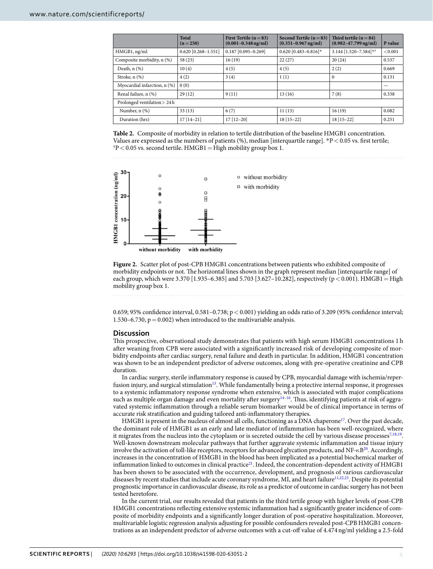<span id="page-3-0"></span>

|                              | Total<br>$(n=250)$    | First Tertile $(n=83)$<br>$(0.001 - 0.348 \,\mathrm{ng/ml})$ | Second Tertile ( $n = 83$ )<br>$(0.351 - 0.967)$ ng/ml) | Third tertile $(n=84)$<br>$(0.982 - 47.799 \,\mathrm{ng/ml})$ | P value |  |  |
|------------------------------|-----------------------|--------------------------------------------------------------|---------------------------------------------------------|---------------------------------------------------------------|---------|--|--|
| HMGB1, ng/ml                 | $0.620$ [0.268-1.551] | $0.187$ [0.095-0.269]                                        | $0.620$ [0.483-0.816]*                                  | 3.144 $[1.520 - 7.584]$ * <sup>†</sup>                        | < 0.001 |  |  |
| Composite morbidity, n (%)   | 58(23)                | 16(19)                                                       | 22(27)                                                  | 20(24)                                                        | 0.537   |  |  |
| Death, $n$ $(\%)$            | 10(4)                 | 4(5)                                                         | 4(5)                                                    | 2(2)                                                          | 0.669   |  |  |
| Stroke, $n$ $(\%)$           | 4(2)                  | 3(4)                                                         | 1(1)                                                    | $\Omega$                                                      | 0.131   |  |  |
| Myocardial infarction, n (%) | 0(0)                  |                                                              |                                                         |                                                               | —       |  |  |
| Renal failure, n (%)         | 29(12)                | 9(11)                                                        | 13(16)                                                  | 7(8)                                                          | 0.338   |  |  |
| Prolonged ventilation > 24h  |                       |                                                              |                                                         |                                                               |         |  |  |
| Number, n (%)                | 33(13)                | 6(7)                                                         | 11(13)                                                  | 16(19)                                                        | 0.082   |  |  |
| Duration (hrs)               | $17[14-21]$           | $17$ [ $12-20$ ]                                             | $18$ [15-22]                                            | $18$ [15-22]                                                  | 0.251   |  |  |

**Table 2.** Composite of morbidity in relation to tertile distribution of the baseline HMGB1 concentration. Values are expressed as the numbers of patients (%), median [interquartile range].  $P$  < 0.05 vs. first tertile;  $P^{\dagger}P$  < 0.05 vs. second tertile. HMGB1 = High mobility group box 1.



<span id="page-3-1"></span>**Figure 2.** Scatter plot of post-CPB HMGB1 concentrations between patients who exhibited composite of morbidity endpoints or not. The horizontal lines shown in the graph represent median [interquartile range] of each group, which were 3.370 [1.935–6.385] and 5.703 [3.627–10.282], respectively ( $p < 0.001$ ). HMGB1 = High mobility group box 1.

0.659; 95% confdence interval, 0.581–0.738; p<0.001) yielding an odds ratio of 3.209 (95% confdence interval; 1.530–6.730,  $p = 0.002$ ) when introduced to the multivariable analysis.

#### **Discussion**

Tis prospective, observational study demonstrates that patients with high serum HMGB1 concentrations 1 h afer weaning from CPB were associated with a signifcantly increased risk of developing composite of morbidity endpoints afer cardiac surgery, renal failure and death in particular. In addition, HMGB1 concentration was shown to be an independent predictor of adverse outcomes, along with pre-operative creatinine and CPB duration.

In cardiac surgery, sterile infammatory response is caused by CPB, myocardial damage with ischemia/reper-fusion injury, and surgical stimulation<sup>[13](#page-5-10)</sup>. While fundamentally being a protective internal response, it progresses to a systemic infammatory response syndrome when extensive, which is associated with major complications such as multiple organ damage and even mortality after surgery<sup>14-16</sup>. Thus, identifying patients at risk of aggravated systemic infammation through a reliable serum biomarker would be of clinical importance in terms of accurate risk stratifcation and guiding tailored anti-infammatory therapies.

HMGB1 is present in the nucleus of almost all cells, functioning as a DNA chaperone<sup>[17](#page-6-1)</sup>. Over the past decade, the dominant role of HMGB1 as an early and late mediator of infammation has been well-recognized, where it migrates from the nucleus into the cytoplasm or is secreted outside the cell by various disease processes<sup>[7,](#page-5-5)[18,](#page-6-2)19</sup>. Well-known downstream molecular pathways that further aggravate systemic infammation and tissue injury involve the activation of toll-like receptors, receptors for advanced glycation products, and  $NF\text{-}\kappa B^{20}$ . Accordingly, increases in the concentration of HMGB1 in the blood has been implicated as a potential biochemical marker of inflammation linked to outcomes in clinical practice<sup>21</sup>. Indeed, the concentration-dependent activity of HMGB1 has been shown to be associated with the occurrence, development, and prognosis of various cardiovascular diseases by recent studies that include acute coronary syndrome, MI, and heart failure<sup>11,[22,](#page-6-6)23</sup>. Despite its potential prognostic importance in cardiovascular disease, its role as a predictor of outcome in cardiac surgery has not been tested heretofore.

In the current trial, our results revealed that patients in the third tertile group with higher levels of post-CPB HMGB1 concentrations refecting extensive systemic infammation had a signifcantly greater incidence of composite of morbidity endpoints and a signifcantly longer duration of post-operative hospitalization. Moreover, multivariable logistic regression analysis adjusting for possible confounders revealed post-CPB HMGB1 concentrations as an independent predictor of adverse outcomes with a cut-of value of 4.474ng/ml yielding a 2.5-fold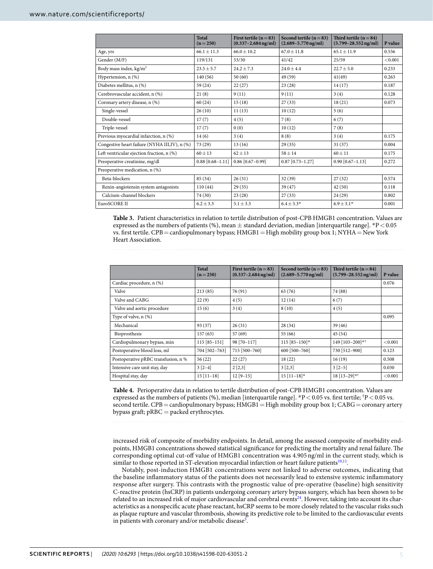<span id="page-4-0"></span>

|                                               | <b>Total</b><br>$(n=250)$ | First tertile $(n=83)$<br>$(0.337 - 2.684 \text{ ng/ml})$ | Second tertile $(n=83)$<br>$(2.689 - 5.770 \,\mathrm{ng/ml})$ | Third tertile $(n=84)$<br>$(5.799 - 28.552 \text{ ng/ml})$ | P value |  |  |  |
|-----------------------------------------------|---------------------------|-----------------------------------------------------------|---------------------------------------------------------------|------------------------------------------------------------|---------|--|--|--|
| Age, yrs                                      | $66.1 + 11.3$             | $66.0 + 10.2$                                             | $67.0 + 11.8$                                                 | $65.1 + 11.9$                                              | 0.556   |  |  |  |
| Gender (M/F)                                  | 119/131                   | 53/30                                                     | 41/42                                                         | 25/59                                                      | < 0.001 |  |  |  |
| Body mass index, $kg/m2$                      | $23.5 \pm 5.7$            | $24.2 \pm 7.3$                                            | $24.0 \pm 4.4$                                                | $22.7 + 5.0$                                               | 0.233   |  |  |  |
| Hypertension, n (%)                           | 140(56)                   | 50(60)                                                    | 49 (59)                                                       | 41(49)                                                     | 0.263   |  |  |  |
| Diabetes mellitus, n (%)                      | 59 (24)                   | 22(27)                                                    | 23(28)                                                        | 14(17)                                                     | 0.187   |  |  |  |
| Cerebrovascular accident, n (%)               | 21(8)                     | 9(11)                                                     | 9(11)                                                         | 3(4)                                                       | 0.128   |  |  |  |
| Coronary artery disease, n (%)                | 60(24)                    | 15(18)                                                    | 27(33)                                                        | 18(21)                                                     | 0.073   |  |  |  |
| Single-vessel                                 | 26(10)                    | 11(13)                                                    | 10(12)                                                        | 5(6)                                                       |         |  |  |  |
| Double-yessel                                 | 17(7)                     | 4(5)                                                      | 7(8)                                                          | 6(7)                                                       |         |  |  |  |
| Triple-vessel                                 | 17(7)                     | 0(0)                                                      | 10(12)                                                        | 7(8)                                                       |         |  |  |  |
| Previous myocardial infarction, n (%)         | 14(6)                     | 3(4)                                                      | 8(8)                                                          | 3(4)                                                       | 0.175   |  |  |  |
| Congestive heart failure (NYHA III,IV), n (%) | 73(29)                    | 13(16)                                                    | 29(35)                                                        | 31(37)                                                     | 0.004   |  |  |  |
| Left ventricular ejection fraction, n (%)     | $60 \pm 13$               | $62 + 13$                                                 | $58 + 14$                                                     | $60 + 11$                                                  | 0.175   |  |  |  |
| Preoperative creatinine, mg/dl                | $0.88$ [0.68-1.11]        | $0.86$ [0.67-0.99]                                        | $0.87$ [0.73-1.27]                                            | $0.90$ $[0.67 - 1.13]$                                     | 0.272   |  |  |  |
| Preoperative medication, n (%)                |                           |                                                           |                                                               |                                                            |         |  |  |  |
| Beta-blockers                                 | 85 (34)                   | 26(31)                                                    | 32(39)                                                        | 27(32)                                                     | 0.574   |  |  |  |
| Renin-angiotensin system antagonists          | 110(44)                   | 29(35)                                                    | 39(47)                                                        | 42(50)                                                     | 0.118   |  |  |  |
| Calcium-channel blockers                      | 74 (30)                   | 23(28)                                                    | 27(33)                                                        | 24(29)                                                     | 0.802   |  |  |  |
| EuroSCORE II                                  | $6.2 + 3.3$               | $5.1 + 3.3$                                               | $6.4 \pm 3.3*$                                                | $6.9 + 3.1*$                                               | 0.001   |  |  |  |

**Table 3.** Patient characteristics in relation to tertile distribution of post-CPB HMGB1 concentration. Values are expressed as the numbers of patients (%), mean  $\pm$  standard deviation, median [interquartile range]. \*P < 0.05 vs. first tertile. CPB = cardiopulmonary bypass; HMGB1 = High mobility group box 1; NYHA = New York Heart Association.

<span id="page-4-1"></span>

|                                     | <b>Total</b><br>$(n=250)$ | First tertile ( $n = 83$ )<br>$(0.337 - 2.684 \text{ ng/ml})$ | Second tertile $(n=83)$<br>$(2.689 - 5.770 \,\mathrm{ng/ml})$ | Third tertile $(n=84)$<br>$(5.799 - 28.552 \text{ ng/ml})$ | P value |
|-------------------------------------|---------------------------|---------------------------------------------------------------|---------------------------------------------------------------|------------------------------------------------------------|---------|
| Cardiac procedure, n (%)            |                           |                                                               |                                                               |                                                            | 0.076   |
| Valve                               | 213(85)                   | 76 (91)                                                       | 63 (76)                                                       | 74 (88)                                                    |         |
| Valve and CABG                      | 22(9)                     | 4(5)                                                          | 12(14)                                                        | 6(7)                                                       |         |
| Valve and aortic procedure          | 15(6)                     | 3(4)                                                          | 8(10)                                                         | 4(5)                                                       |         |
| Type of valve, n (%)                |                           |                                                               |                                                               |                                                            | 0.095   |
| Mechanical                          | 93 (37)                   | 26(31)                                                        | 28(34)                                                        | 39(46)                                                     |         |
| Bioprosthesis                       | 157(63)                   | 57 (69)                                                       | 55 (66)                                                       | 45(54)                                                     |         |
| Cardiopulmonary bypass, min         | $115[85-151]$             | 98 [70-117]                                                   | 115 [85-150]*                                                 | 149 [103-200]**                                            | < 0.001 |
| Postoperative blood loss, ml        | 704 [502-763]             | 715 [500-760]                                                 | 600 [500-760]                                                 | 730 [512-900]                                              | 0.123   |
| Postoperative pRBC transfusion, n % | 56(22)                    | 22(27)                                                        | 18(22)                                                        | 16(19)                                                     | 0.508   |
| Intensive care unit stay, day       | $3[2-4]$                  | 2 [2,3]                                                       | 3 [2,3]                                                       | $3[2-5]$                                                   | 0.030   |
| Hospital stay, day                  | $15[11-18]$               | $12 [9 - 15]$                                                 | $15$ [11-18]*                                                 | $18$ [13-29]* <sup>†</sup>                                 | < 0.001 |

**Table 4.** Perioperative data in relation to tertile distribution of post-CPB HMGB1 concentration. Values are expressed as the numbers of patients (%), median [interquartile range].  $*P < 0.05$  vs. first tertile;  $^{\dagger}P < 0.05$  vs. second tertile. CPB = cardiopulmonary bypass; HMGB1 = High mobility group box 1; CABG = coronary artery bypass graft;  $pRBC =$  packed erythrocytes.

increased risk of composite of morbidity endpoints. In detail, among the assessed composite of morbidity endpoints, HMGB1 concentrations showed statistical significance for predicting the mortality and renal failure. The corresponding optimal cut-of value of HMGB1 concentration was 4.905 ng/ml in the current study, which is similar to those reported in ST-elevation myocardial infarction or heart failure patients<sup>[10](#page-5-12),[11](#page-5-7)</sup>.

Notably, post-induction HMGB1 concentrations were not linked to adverse outcomes, indicating that the baseline infammatory status of the patients does not necessarily lead to extensive systemic infammatory response after surgery. This contrasts with the prognostic value of pre-operative (baseline) high sensitivity C-reactive protein (hsCRP) in patients undergoing coronary artery bypass surgery, which has been shown to be related to an increased risk of major cardiovascular and cerebral events<sup>[24](#page-6-8)</sup>. However, taking into account its characteristics as a nonspecifc acute phase reactant, hsCRP seems to be more closely related to the vascular risks such as plaque rupture and vascular thrombosis, showing its predictive role to be limited to the cardiovascular events in patients with coronary and/or metabolic disease<sup>5</sup>.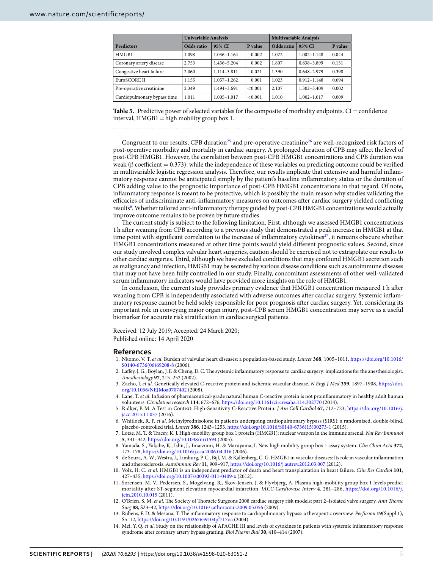<span id="page-5-9"></span>

|                             | <b>Univariable Analysis</b> |                 |         | <b>Multivariable Analysis</b> |                 |         |
|-----------------------------|-----------------------------|-----------------|---------|-------------------------------|-----------------|---------|
| <b>Predictors</b>           | Odds ratio                  | 95% CI          | P value | Odds ratio                    | 95% CI          | P value |
| HMGB1                       | 1.098                       | 1.036-1.164     | 0.002   | 1.072                         | $1.002 - 1.148$ | 0.044   |
| Coronary artery disease     | 2.753                       | 1.456-5.204     | 0.002   | 1.807                         | 0.838-3.899     | 0.131   |
| Congestive heart failure    | 2.060                       | 1.114-3.811     | 0.021   | 1.390                         | $0.648 - 2.979$ | 0.398   |
| EuroSCORE II                | 1.155                       | $1.057 - 1.262$ | 0.001   | 1.023                         | $0.912 - 1.148$ | 0.694   |
| Pre-operative creatinine    | 2.349                       | 1.494-3.691     | < 0.001 | 2.107                         | $1.302 - 3.409$ | 0.002   |
| Cardiopulmonary bypass time | 1.011                       | 1.005-1.017     | < 0.001 | 1.010                         | $1.002 - 1.017$ | 0.009   |

**Table 5.** Predictive power of selected variables for the composite of morbidity endpoints. CI = confidence interval,  $HMGB1 = high mobility group box 1.$ 

Congruent to our results, CPB duration<sup>25</sup> and pre-operative creatinine<sup>[26](#page-6-10)</sup> are well-recognized risk factors of post-operative morbidity and mortality in cardiac surgery. A prolonged duration of CPB may afect the level of post-CPB HMGB1. However, the correlation between post-CPB HMGB1 concentrations and CPB duration was weak (β coefficient = 0.373), while the independence of these variables on predicting outcome could be verified in multivariable logistic regression analysis. Therefore, our results implicate that extensive and harmful inflammatory response cannot be anticipated simply by the patient's baseline infammatory status or the duration of CPB adding value to the prognostic importance of post-CPB HMGB1 concentrations in that regard. Of note, infammatory response is meant to be protective, which is possibly the main reason why studies validating the efcacies of indiscriminate anti-infammatory measures on outcomes afer cardiac surgery yielded conficting results<sup>[6](#page-5-4)</sup>. Whether tailored anti-inflammatory therapy guided by post-CPB HMGB1 concentrations would actually improve outcome remains to be proven by future studies.

The current study is subject to the following limitation. First, although we assessed HMGB1 concentrations 1h afer weaning from CPB according to a previous study that demonstrated a peak increase in HMGB1 at that time point with significant correlation to the increase of inflammatory cytokines<sup>27</sup>, it remains obscure whether HMGB1 concentrations measured at other time points would yield diferent prognostic values. Second, since our study involved complex valvular heart surgeries, caution should be exercised not to extrapolate our results to other cardiac surgeries. Tird, although we have excluded conditions that may confound HMGB1 secretion such as malignancy and infection, HMGB1 may be secreted by various disease conditions such as autoimmune diseases that may not have been fully controlled in our study. Finally, concomitant assessments of other well-validated serum infammatory indicators would have provided more insights on the role of HMGB1.

In conclusion, the current study provides primary evidence that HMGB1 concentration measured 1 h afer weaning from CPB is independently associated with adverse outcomes afer cardiac surgery. Systemic infammatory response cannot be held solely responsible for poor prognosis afer cardiac surgery. Yet, considering its important role in conveying major organ injury, post-CPB serum HMGB1 concentration may serve as a useful biomarker for accurate risk stratifcation in cardiac surgical patients.

Received: 12 July 2019; Accepted: 24 March 2020; Published online: 14 April 2020

#### **References**

- <span id="page-5-0"></span>1. Nkomo, V. T. *et al*. Burden of valvular heart diseases: a population-based study. *Lancet* **368**, 1005–1011, [https://doi.org/10.1016/](https://doi.org/10.1016/S0140-6736(06)69208-8) [S0140-6736\(06\)69208-8](https://doi.org/10.1016/S0140-6736(06)69208-8) (2006).
- <span id="page-5-1"></span>2. Lafey, J. G., Boylan, J. F. & Cheng, D. C. Te systemic infammatory response to cardiac surgery: implications for the anesthesiologist. *Anesthesiology* **97**, 215–252 (2002).
- <span id="page-5-2"></span>3. Zacho, J. *et al*. Genetically elevated C-reactive protein and ischemic vascular disease. *N Engl J Med* **359**, 1897–1908, [https://doi.](https://doi.org/10.1056/NEJMoa0707402) [org/10.1056/NEJMoa0707402](https://doi.org/10.1056/NEJMoa0707402) (2008).
- 4. Lane, T. *et al*. Infusion of pharmaceutical-grade natural human C-reactive protein is not proinfammatory in healthy adult human volunteers. *Circulation research* **114**, 672–676,<https://doi.org/10.1161/circresaha.114.302770>(2014).
- <span id="page-5-3"></span>5. Ridker, P. M. A Test in Context: High-Sensitivity C-Reactive Protein. *J Am Coll Cardiol* **67**, 712–723, [https://doi.org/10.1016/j.](https://doi.org/10.1016/j.jacc.2015.11.037) acc.2015.11.037 (2016).
- <span id="page-5-4"></span>6. Whitlock, R. P. *et al*. Methylprednisolone in patients undergoing cardiopulmonary bypass (SIRS): a randomised, double-blind, placebo-controlled trial. *Lancet* **386**, 1243–1253, [https://doi.org/10.1016/S0140-6736\(15\)00273-1](https://doi.org/10.1016/S0140-6736(15)00273-1) (2015).
- <span id="page-5-5"></span>7. Lotze, M. T. & Tracey, K. J. High-mobility group box 1 protein (HMGB1): nuclear weapon in the immune arsenal. *Nat Rev Immunol* **5**, 331–342,<https://doi.org/10.1038/nri1594>(2005).
- <span id="page-5-6"></span>8. Yamada, S., Yakabe, K., Ishii, J., Imaizumi, H. & Maruyama, I. New high mobility group box 1 assay system. *Clin Chim Acta* **372**, 173–178,<https://doi.org/10.1016/j.cca.2006.04.016> (2006).
- 9. de Souza, A. W., Westra, J., Limburg, P. C., Bijl, M. & Kallenberg, C. G. HMGB1 in vascular diseases: Its role in vascular infammation and atherosclerosis. *Autoimmun Rev* **11**, 909–917,<https://doi.org/10.1016/j.autrev.2012.03.007>(2012).
- <span id="page-5-12"></span>10. Volz, H. C. *et al*. HMGB1 is an independent predictor of death and heart transplantation in heart failure. *Clin Res Cardiol* **101**, 427–435,<https://doi.org/10.1007/s00392-011-0409-x> (2012).
- <span id="page-5-7"></span>11. Sorensen, M. V., Pedersen, S., Mogelvang, R., Skov-Jensen, J. & Flyvbjerg, A. Plasma high-mobility group box 1 levels predict mortality after ST-segment elevation myocardial infarction. *JACC Cardiovasc Interv* **4**, 281–286, [https://doi.org/10.1016/j.](https://doi.org/10.1016/j.jcin.2010.10.015) [jcin.2010.10.015](https://doi.org/10.1016/j.jcin.2010.10.015) (2011).
- <span id="page-5-8"></span>12. O'Brien, S. M. *et al*. Te Society of Toracic Surgeons 2008 cardiac surgery risk models: part 2–isolated valve surgery. *Ann Torac Surg* **88**, S23–42,<https://doi.org/10.1016/j.athoracsur.2009.05.056>(2009).
- <span id="page-5-10"></span>13. Rubens, F. D. & Mesana, T. Te infammatory response to cardiopulmonary bypass: a therapeutic overview. *Perfusion* **19**(Suppl 1), S5–12,<https://doi.org/10.1191/0267659104pf717oa> (2004).
- <span id="page-5-11"></span>14. Mei, Y. Q. *et al*. Study on the relationship of APACHE III and levels of cytokines in patients with systemic infammatory response syndrome afer coronary artery bypass grafing. *Biol Pharm Bull* **30**, 410–414 (2007).